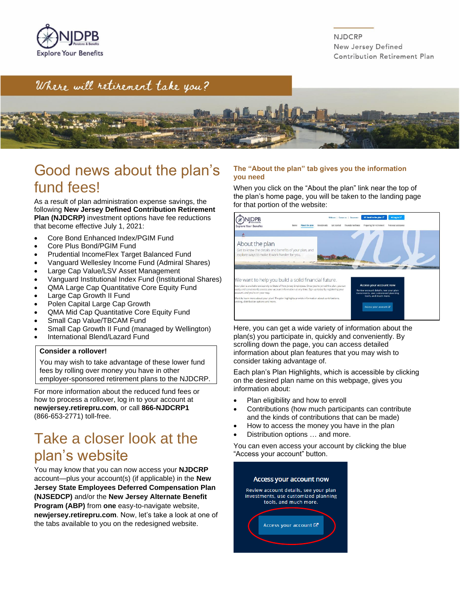

**NJDCRP** New Jersey Defined Contribution Retirement Plan

### Where will retirement take you?



### Good news about the plan's fund fees!

As a result of plan administration expense savings, the following **New Jersey Defined Contribution Retirement Plan (NJDCRP)** investment options have fee reductions that become effective July 1, 2021:

- Core Bond Enhanced Index/PGIM Fund
- Core Plus Bond/PGIM Fund
- Prudential IncomeFlex Target Balanced Fund
- Vanguard Wellesley Income Fund (Admiral Shares)
- Large Cap Value/LSV Asset Management
- Vanguard Institutional Index Fund (Institutional Shares)
- QMA Large Cap Quantitative Core Equity Fund
- Large Cap Growth II Fund
- Polen Capital Large Cap Growth
- QMA Mid Cap Quantitative Core Equity Fund
- Small Cap Value/TBCAM Fund
- Small Cap Growth II Fund (managed by Wellington)
- International Blend/Lazard Fund

#### **Consider a rollover!**

You may wish to take advantage of these lower fund fees by rolling over money you have in other employer-sponsored retirement plans to the NJDCRP.

For more information about the reduced fund fees or how to process a rollover, log in to your account at **newjersey.retirepru.com**, or call **866-NJDCRP1**  (866-653-2771) toll-free.

### Take a closer look at the plan's website

You may know that you can now access your **NJDCRP** account—plus your account(s) (if applicable) in the **New Jersey State Employees Deferred Compensation Plan (NJSEDCP)** and/or the **New Jersey Alternate Benefit Program (ABP)** from **one** easy-to-navigate website, **newjersey.retirepru.com**. Now, let's take a look at one of the tabs available to you on the redesigned website.

#### **The "About the plan" tab gives you the information you need**

When you click on the "About the plan" link near the top of the plan's home page, you will be taken to the landing page for that portion of the website:



Here, you can get a wide variety of information about the plan(s) you participate in, quickly and conveniently. By scrolling down the page, you can access detailed information about plan features that you may wish to consider taking advantage of.

Each plan's Plan Highlights, which is accessible by clicking on the desired plan name on this webpage, gives you information about:

- Plan eligibility and how to enroll
- Contributions (how much participants can contribute and the kinds of contributions that can be made)
- How to access the money you have in the plan
- Distribution options ... and more.

You can even access your account by clicking the blue "Access your account" button.